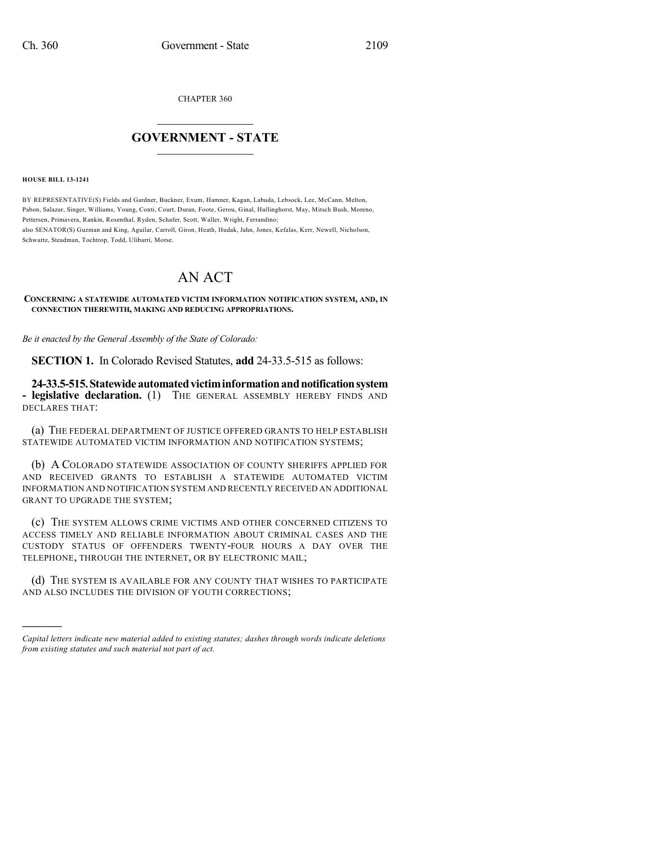CHAPTER 360

## $\overline{\phantom{a}}$  . The set of the set of the set of the set of the set of the set of the set of the set of the set of the set of the set of the set of the set of the set of the set of the set of the set of the set of the set o **GOVERNMENT - STATE**  $\_$

**HOUSE BILL 13-1241**

)))))

BY REPRESENTATIVE(S) Fields and Gardner, Buckner, Exum, Hamner, Kagan, Labuda, Lebsock, Lee, McCann, Melton, Pabon, Salazar, Singer, Williams, Young, Conti, Court, Duran, Foote, Gerou, Ginal, Hullinghorst, May, Mitsch Bush, Moreno, Pettersen, Primavera, Rankin, Rosenthal, Ryden, Schafer, Scott, Waller, Wright, Ferrandino; also SENATOR(S) Guzman and King, Aguilar, Carroll, Giron, Heath, Hudak, Jahn, Jones, Kefalas, Kerr, Newell, Nicholson, Schwartz, Steadman, Tochtrop, Todd, Ulibarri, Morse.

## AN ACT

**CONCERNING A STATEWIDE AUTOMATED VICTIM INFORMATION NOTIFICATION SYSTEM, AND, IN CONNECTION THEREWITH, MAKING AND REDUCING APPROPRIATIONS.**

*Be it enacted by the General Assembly of the State of Colorado:*

**SECTION 1.** In Colorado Revised Statutes, **add** 24-33.5-515 as follows:

**24-33.5-515.Statewideautomatedvictiminformationandnotificationsystem - legislative declaration.** (1) THE GENERAL ASSEMBLY HEREBY FINDS AND DECLARES THAT:

(a) THE FEDERAL DEPARTMENT OF JUSTICE OFFERED GRANTS TO HELP ESTABLISH STATEWIDE AUTOMATED VICTIM INFORMATION AND NOTIFICATION SYSTEMS;

(b) A COLORADO STATEWIDE ASSOCIATION OF COUNTY SHERIFFS APPLIED FOR AND RECEIVED GRANTS TO ESTABLISH A STATEWIDE AUTOMATED VICTIM INFORMATION AND NOTIFICATION SYSTEM AND RECENTLY RECEIVED AN ADDITIONAL GRANT TO UPGRADE THE SYSTEM;

(c) THE SYSTEM ALLOWS CRIME VICTIMS AND OTHER CONCERNED CITIZENS TO ACCESS TIMELY AND RELIABLE INFORMATION ABOUT CRIMINAL CASES AND THE CUSTODY STATUS OF OFFENDERS TWENTY-FOUR HOURS A DAY OVER THE TELEPHONE, THROUGH THE INTERNET, OR BY ELECTRONIC MAIL;

(d) THE SYSTEM IS AVAILABLE FOR ANY COUNTY THAT WISHES TO PARTICIPATE AND ALSO INCLUDES THE DIVISION OF YOUTH CORRECTIONS;

*Capital letters indicate new material added to existing statutes; dashes through words indicate deletions from existing statutes and such material not part of act.*